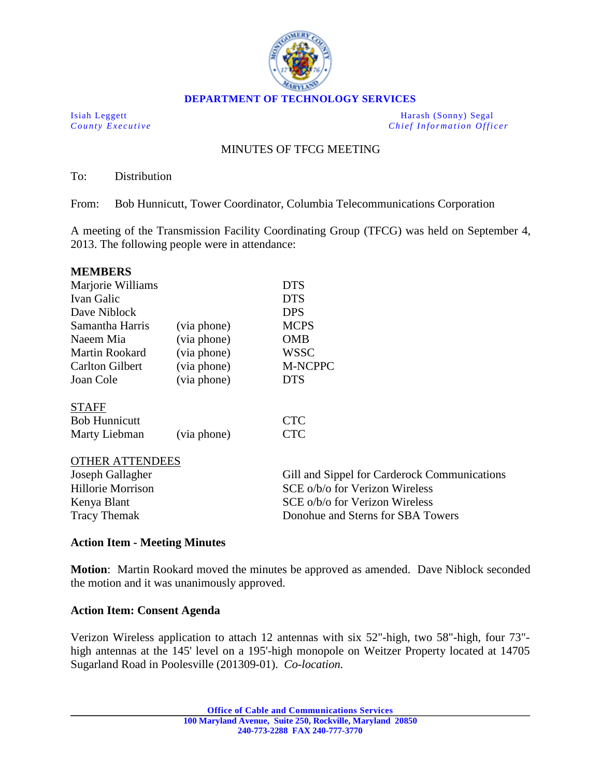

**DEPARTMENT OF TECHNOLOGY SERVICES**

Isiah Leggett Harash (Sonny) Segal *County Executive Chief Information Officer*

## MINUTES OF TFCG MEETING

To: Distribution

From: Bob Hunnicutt, Tower Coordinator, Columbia Telecommunications Corporation

A meeting of the Transmission Facility Coordinating Group (TFCG) was held on September 4, 2013. The following people were in attendance:

| <b>MEMBERS</b>                                  |             |                                              |                 |             |             |
|-------------------------------------------------|-------------|----------------------------------------------|-----------------|-------------|-------------|
| Marjorie Williams<br>Ivan Galic<br>Dave Niblock |             | <b>DTS</b><br><b>DTS</b><br><b>DPS</b>       |                 |             |             |
|                                                 |             |                                              | Samantha Harris | (via phone) | <b>MCPS</b> |
|                                                 |             |                                              | Naeem Mia       | (via phone) | <b>OMB</b>  |
| Martin Rookard                                  | (via phone) | WSSC                                         |                 |             |             |
| <b>Carlton Gilbert</b>                          | (via phone) | M-NCPPC                                      |                 |             |             |
| Joan Cole                                       | (via phone) | <b>DTS</b>                                   |                 |             |             |
| <b>STAFF</b>                                    |             |                                              |                 |             |             |
| <b>Bob Hunnicutt</b>                            |             | <b>CTC</b>                                   |                 |             |             |
| Marty Liebman                                   | (via phone) | <b>CTC</b>                                   |                 |             |             |
| <b>OTHER ATTENDEES</b>                          |             |                                              |                 |             |             |
| Joseph Gallagher                                |             | Gill and Sippel for Carderock Communications |                 |             |             |
| Hillorie Morrison                               |             | SCE o/b/o for Verizon Wireless               |                 |             |             |
| Kenya Blant                                     |             | SCE o/b/o for Verizon Wireless               |                 |             |             |

## **Action Item - Meeting Minutes**

**Motion**: Martin Rookard moved the minutes be approved as amended. Dave Niblock seconded the motion and it was unanimously approved.

Tracy Themak **Donohue and Sterns for SBA Towers** 

## **Action Item: Consent Agenda**

Verizon Wireless application to attach 12 antennas with six 52"-high, two 58"-high, four 73" high antennas at the 145' level on a 195'-high monopole on Weitzer Property located at 14705 Sugarland Road in Poolesville (201309-01). *Co-location.*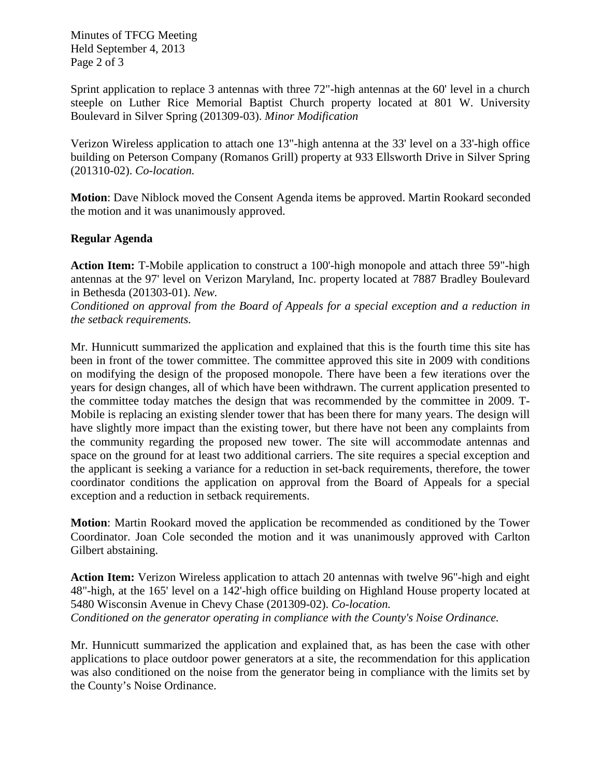Minutes of TFCG Meeting Held September 4, 2013 Page 2 of 3

Sprint application to replace 3 antennas with three 72"-high antennas at the 60' level in a church steeple on Luther Rice Memorial Baptist Church property located at 801 W. University Boulevard in Silver Spring (201309-03). *Minor Modification*

Verizon Wireless application to attach one 13"-high antenna at the 33' level on a 33'-high office building on Peterson Company (Romanos Grill) property at 933 Ellsworth Drive in Silver Spring (201310-02). *Co-location.* 

**Motion**: Dave Niblock moved the Consent Agenda items be approved. Martin Rookard seconded the motion and it was unanimously approved.

## **Regular Agenda**

**Action Item:** T-Mobile application to construct a 100'-high monopole and attach three 59"-high antennas at the 97' level on Verizon Maryland, Inc. property located at 7887 Bradley Boulevard in Bethesda (201303-01). *New.*

*Conditioned on approval from the Board of Appeals for a special exception and a reduction in the setback requirements.* 

Mr. Hunnicutt summarized the application and explained that this is the fourth time this site has been in front of the tower committee. The committee approved this site in 2009 with conditions on modifying the design of the proposed monopole. There have been a few iterations over the years for design changes, all of which have been withdrawn. The current application presented to the committee today matches the design that was recommended by the committee in 2009. T-Mobile is replacing an existing slender tower that has been there for many years. The design will have slightly more impact than the existing tower, but there have not been any complaints from the community regarding the proposed new tower. The site will accommodate antennas and space on the ground for at least two additional carriers. The site requires a special exception and the applicant is seeking a variance for a reduction in set-back requirements, therefore, the tower coordinator conditions the application on approval from the Board of Appeals for a special exception and a reduction in setback requirements.

**Motion**: Martin Rookard moved the application be recommended as conditioned by the Tower Coordinator. Joan Cole seconded the motion and it was unanimously approved with Carlton Gilbert abstaining.

**Action Item:** Verizon Wireless application to attach 20 antennas with twelve 96"-high and eight 48"-high, at the 165' level on a 142'-high office building on Highland House property located at 5480 Wisconsin Avenue in Chevy Chase (201309-02). *Co-location. Conditioned on the generator operating in compliance with the County's Noise Ordinance.*

Mr. Hunnicutt summarized the application and explained that, as has been the case with other applications to place outdoor power generators at a site, the recommendation for this application was also conditioned on the noise from the generator being in compliance with the limits set by the County's Noise Ordinance.